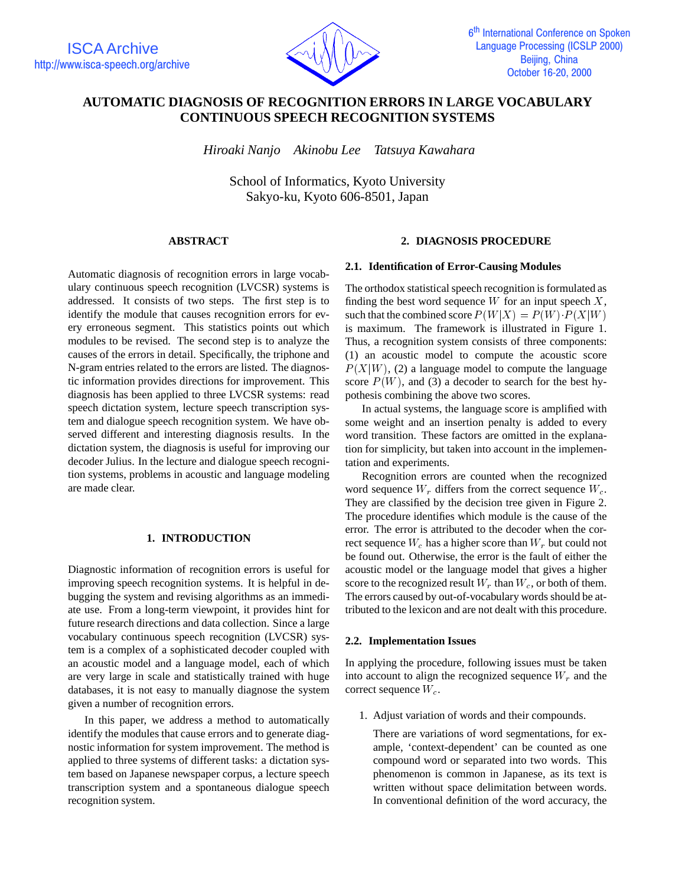

# **AUTOMATIC DIAGNOSIS OF RECOGNITION ERRORS IN LARGE VOCABULARY CONTINUOUS SPEECH RECOGNITION SYSTEMS**

*Hiroaki Nanjo Akinobu Lee Tatsuya Kawahara*

School of Informatics, Kyoto University Sakyo-ku, Kyoto 606-8501, Japan

## **ABSTRACT**

Automatic diagnosis of recognition errors in large vocabulary continuous speech recognition (LVCSR) systems is addressed. It consists of two steps. The first step is to identify the module that causes recognition errors for every erroneous segment. This statistics points out which modules to be revised. The second step is to analyze the causes of the errors in detail. Specifically, the triphone and N-gram entries related to the errors are listed. The diagnostic information provides directions for improvement. This diagnosis has been applied to three LVCSR systems: read speech dictation system, lecture speech transcription system and dialogue speech recognition system. We have observed different and interesting diagnosis results. In the dictation system, the diagnosis is useful for improving our decoder Julius. In the lecture and dialogue speech recognition systems, problems in acoustic and language modeling are made clear.

## **1. INTRODUCTION**

Diagnostic information of recognition errors is useful for improving speech recognition systems. It is helpful in debugging the system and revising algorithms as an immediate use. From a long-term viewpoint, it provides hint for future research directions and data collection. Since a large vocabulary continuous speech recognition (LVCSR) system is a complex of a sophisticated decoder coupled with an acoustic model and a language model, each of which are very large in scale and statistically trained with huge databases, it is not easy to manually diagnose the system given a number of recognition errors.

In this paper, we address a method to automatically identify the modules that cause errors and to generate diagnostic information for system improvement. The method is applied to three systems of different tasks: a dictation system based on Japanese newspaper corpus, a lecture speech transcription system and a spontaneous dialogue speech recognition system.

## **2. DIAGNOSIS PROCEDURE**

#### **2.1. Identification of Error-Causing Modules**

The orthodox statistical speech recognition is formulated as finding the best word sequence  $W$  for an input speech  $X$ , such that the combined score  $P(W|X) = P(W) \cdot P(X|W)$ is maximum. The framework is illustrated in Figure 1. Thus, a recognition system consists of three components: (1) an acoustic model to compute the acoustic score  $P(X|W)$ , (2) a language model to compute the language score  $P(W)$ , and (3) a decoder to search for the best hypothesis combining the above two scores.

In actual systems, the language score is amplified with some weight and an insertion penalty is added to every word transition. These factors are omitted in the explanation for simplicity, but taken into account in the implementation and experiments.

Recognition errors are counted when the recognized word sequence  $W_r$  differs from the correct sequence  $W_c$ . They are classified by the decision tree given in Figure 2. The procedure identifies which module is the cause of the error. The error is attributed to the decoder when the correct sequence  $W_c$  has a higher score than  $W_r$  but could not be found out. Otherwise, the error is the fault of either the acoustic model or the language model that gives a higher score to the recognized result  $W_r$  than  $W_c$ , or both of them. The errors caused by out-of-vocabulary words should be attributed to the lexicon and are not dealt with this procedure.

#### **2.2. Implementation Issues**

In applying the procedure, following issues must be taken into account to align the recognized sequence  $W_r$  and the correct sequence  $W_c$ .

1. Adjust variation of words and their compounds.

There are variations of word segmentations, for example, 'context-dependent' can be counted as one compound word or separated into two words. This phenomenon is common in Japanese, as its text is written without space delimitation between words. In conventional definition of the word accuracy, the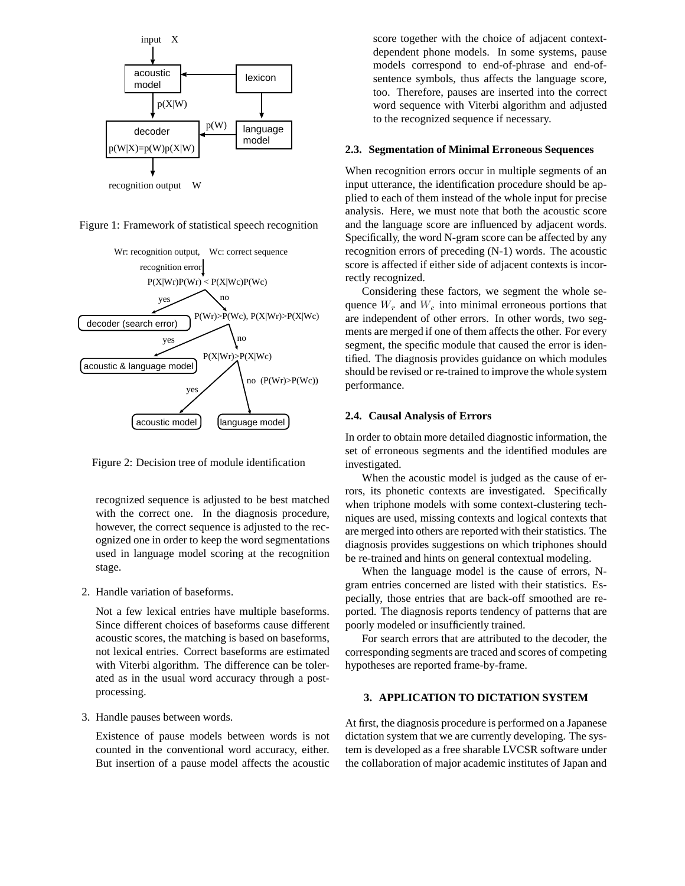





Figure 2: Decision tree of module identification

recognized sequence is adjusted to be best matched with the correct one. In the diagnosis procedure, however, the correct sequence is adjusted to the recognized one in order to keep the word segmentations used in language model scoring at the recognition stage.

2. Handle variation of baseforms.

Not a few lexical entries have multiple baseforms. Since different choices of baseforms cause different acoustic scores, the matching is based on baseforms, not lexical entries. Correct baseforms are estimated with Viterbi algorithm. The difference can be tolerated as in the usual word accuracy through a postprocessing.

3. Handle pauses between words.

Existence of pause models between words is not counted in the conventional word accuracy, either. But insertion of a pause model affects the acoustic

score together with the choice of adjacent contextdependent phone models. In some systems, pause models correspond to end-of-phrase and end-ofsentence symbols, thus affects the language score, too. Therefore, pauses are inserted into the correct word sequence with Viterbi algorithm and adjusted to the recognized sequence if necessary.

#### **2.3. Segmentation of Minimal Erroneous Sequences**

When recognition errors occur in multiple segments of an input utterance, the identification procedure should be applied to each of them instead of the whole input for precise analysis. Here, we must note that both the acoustic score and the language score are influenced by adjacent words. Specifically, the word N-gram score can be affected by any recognition errors of preceding (N-1) words. The acoustic score is affected if either side of adjacent contexts is incorrectly recognized.

Considering these factors, we segment the whole sequence  $W_r$  and  $W_c$  into minimal erroneous portions that are independent of other errors. In other words, two segments are merged if one of them affects the other. For every segment, the specific module that caused the error is identified. The diagnosis provides guidance on which modules should be revised or re-trained to improve the whole system performance.

## **2.4. Causal Analysis of Errors**

In order to obtain more detailed diagnostic information, the set of erroneous segments and the identified modules are investigated.

When the acoustic model is judged as the cause of errors, its phonetic contexts are investigated. Specifically when triphone models with some context-clustering techniques are used, missing contexts and logical contexts that are merged into others are reported with their statistics. The diagnosis provides suggestions on which triphones should be re-trained and hints on general contextual modeling.

When the language model is the cause of errors, Ngram entries concerned are listed with their statistics. Especially, those entries that are back-off smoothed are reported. The diagnosis reports tendency of patterns that are poorly modeled or insufficiently trained.

For search errors that are attributed to the decoder, the corresponding segments are traced and scores of competing hypotheses are reported frame-by-frame.

## **3. APPLICATION TO DICTATION SYSTEM**

At first, the diagnosis procedure is performed on a Japanese dictation system that we are currently developing. The system is developed as a free sharable LVCSR software under the collaboration of major academic institutes of Japan and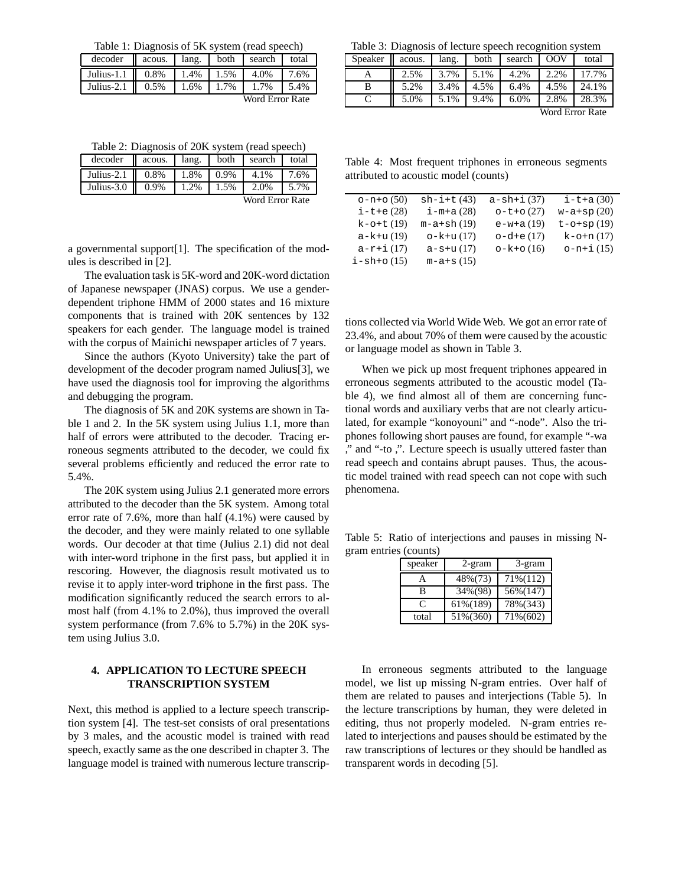Table 1: Diagnosis of 5K system (read speech)

| decoder acous. all lang. both search total     |  |  |  |
|------------------------------------------------|--|--|--|
| Julius-1.1    0.8%   1.4%   1.5%   4.0%   7.6% |  |  |  |
| Julius-2.1    0.5%   1.6%   1.7%   1.7%   5.4% |  |  |  |

Word Error Rate

Table 2: Diagnosis of 20K system (read speech)

| decoder    acous.   lang.   both   search   total                                                             |  |                 |      |
|---------------------------------------------------------------------------------------------------------------|--|-----------------|------|
| Julius-2.1    0.8%    1.8%    0.9%    4.1%                                                                    |  |                 | 7.6% |
| Julius-3.0 $\begin{array}{ c c c c c c c c } \hline 0.9\% & 1.2\% & 1.5\% & 2.0\% & 5.7\% \hline \end{array}$ |  |                 |      |
|                                                                                                               |  | Word Error Rate |      |

a governmental support[1]. The specification of the modules is described in [2].

The evaluation task is 5K-word and 20K-word dictation of Japanese newspaper (JNAS) corpus. We use a genderdependent triphone HMM of 2000 states and 16 mixture components that is trained with 20K sentences by 132 speakers for each gender. The language model is trained with the corpus of Mainichi newspaper articles of 7 years.

Since the authors (Kyoto University) take the part of development of the decoder program named Julius[3], we have used the diagnosis tool for improving the algorithms and debugging the program.

The diagnosis of 5K and 20K systems are shown in Table 1 and 2. In the 5K system using Julius 1.1, more than half of errors were attributed to the decoder. Tracing erroneous segments attributed to the decoder, we could fix several problems efficiently and reduced the error rate to 5.4%.

The 20K system using Julius 2.1 generated more errors attributed to the decoder than the 5K system. Among total error rate of 7.6%, more than half (4.1%) were caused by the decoder, and they were mainly related to one syllable words. Our decoder at that time (Julius 2.1) did not deal with inter-word triphone in the first pass, but applied it in rescoring. However, the diagnosis result motivated us to revise it to apply inter-word triphone in the first pass. The modification significantly reduced the search errors to almost half (from 4.1% to 2.0%), thus improved the overall system performance (from 7.6% to 5.7%) in the 20K system using Julius 3.0.

## **4. APPLICATION TO LECTURE SPEECH TRANSCRIPTION SYSTEM**

Next, this method is applied to a lecture speech transcription system [4]. The test-set consists of oral presentations by 3 males, and the acoustic model is trained with read speech, exactly same as the one described in chapter 3. The language model is trained with numerous lecture transcrip-

Table 3: Diagnosis of lecture speech recognition system

| $-20.00$ $-0.000$ $-0.000$ $-0.000$ |        |       |      |        |            |       |
|-------------------------------------|--------|-------|------|--------|------------|-------|
| Speaker                             | acous. | lang. | both | search | <b>OOV</b> | total |
|                                     | 2.5%   | 3.7%  | 5.1% | 4.2%   | 2.2%       | 17.7% |
| B                                   | 5.2%   | 3.4%  | 4.5% | 6.4%   | 4.5%       | 24.1% |
|                                     | 5.0%   | 5.1%  | 9.4% | 6.0%   | 2.8%       | 28.3% |
| $W_{\alpha r}$ d Error Data         |        |       |      |        |            |       |

Word Error Rate

Table 4: Most frequent triphones in erroneous segments attributed to acoustic model (counts)

| $o - n + o(50)$  | $sh-i+t(43)$    | $a-sh+i(37)$ | $i$ -t+a $(30)$  |
|------------------|-----------------|--------------|------------------|
| $i$ -t+e $(28)$  | i-m+a(28)       | $o-t+o(27)$  | $w-a+sp(20)$     |
| $k$ -o+t $(19)$  | $m-a+sh(19)$    | $e-w+a(19)$  | $t - o + sp(19)$ |
| $a - k + u(19)$  | $o - k + u(17)$ | $o-d+e(17)$  | $k$ -0+n $(17)$  |
| $a-r+1(17)$      | $a-s+u(17)$     | $o-k+o(16)$  | $o-n+1(15)$      |
| $i - sh + o(15)$ | $m-a+s(15)$     |              |                  |

tions collected via World Wide Web. We got an error rate of 23.4%, and about 70% of them were caused by the acoustic or language model as shown in Table 3.

When we pick up most frequent triphones appeared in erroneous segments attributed to the acoustic model (Table 4), we find almost all of them are concerning functional words and auxiliary verbs that are not clearly articulated, for example "konoyouni" and "-node". Also the triphones following short pauses are found, for example "-wa ," and "-to ,". Lecture speech is usually uttered faster than read speech and contains abrupt pauses. Thus, the acoustic model trained with read speech can not cope with such phenomena.

Table 5: Ratio of interjections and pauses in missing Ngram entries (counts)

| speaker | 2-gram   | 3-gram   |
|---------|----------|----------|
|         | 48%(73)  | 71%(112) |
| В       | 34%(98)  | 56%(147) |
| C       | 61%(189) | 78%(343) |
| total   | 51%(360) | 71%(602) |

In erroneous segments attributed to the language model, we list up missing N-gram entries. Over half of them are related to pauses and interjections (Table 5). In the lecture transcriptions by human, they were deleted in editing, thus not properly modeled. N-gram entries related to interjections and pauses should be estimated by the raw transcriptions of lectures or they should be handled as transparent words in decoding [5].